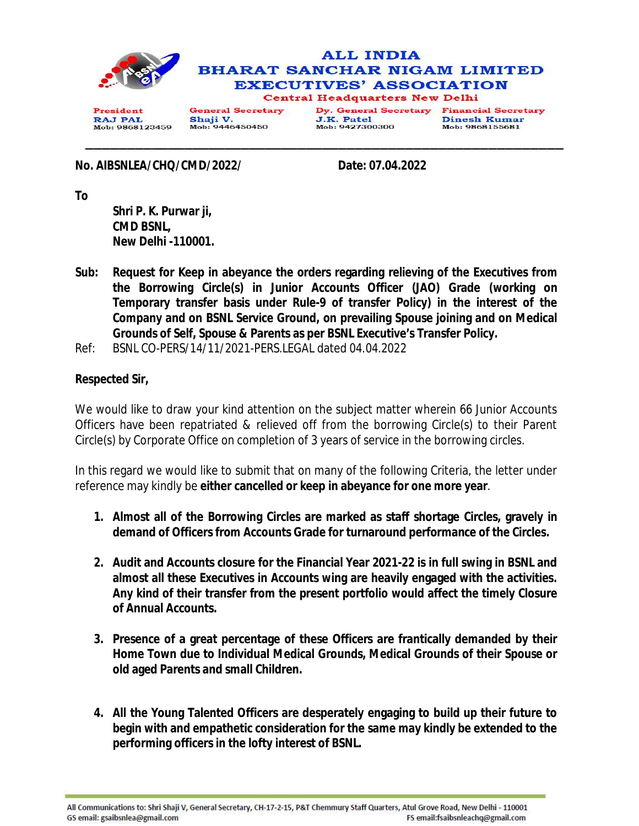

**RAJ PAL** Mob: 9868123459 Shaji V. Mob: 9446450450

J.K. Patel Mob: 9427300300 Dinesh Kumar Mob: 9868155681

**No. AIBSNLEA/CHQ/CMD/2022/ Date: 07.04.2022**

**To** 

**Shri P. K. Purwar ji, CMD BSNL, New Delhi -110001.** 

- **Sub: Request for Keep in abeyance the orders regarding relieving of the Executives from the Borrowing Circle(s) in Junior Accounts Officer (JAO) Grade (working on Temporary transfer basis under Rule-9 of transfer Policy) in the interest of the Company and on BSNL Service Ground, on prevailing Spouse joining and on Medical Grounds of Self, Spouse & Parents as per BSNL Executive's Transfer Policy.**
- Ref: BSNL CO-PERS/14/11/2021-PERS.LEGAL dated 04.04.2022

## **Respected Sir,**

We would like to draw your kind attention on the subject matter wherein 66 Junior Accounts Officers have been repatriated & relieved off from the borrowing Circle(s) to their Parent Circle(s) by Corporate Office on completion of 3 years of service in the borrowing circles.

In this regard we would like to submit that on many of the following Criteria, the letter under reference may kindly be **either cancelled or keep in abeyance for one more year**.

- **1. Almost all of the Borrowing Circles are marked as staff shortage Circles, gravely in demand of Officers from Accounts Grade for turnaround performance of the Circles.**
- **2. Audit and Accounts closure for the Financial Year 2021-22 is in full swing in BSNL and almost all these Executives in Accounts wing are heavily engaged with the activities. Any kind of their transfer from the present portfolio would affect the timely Closure of Annual Accounts.**
- **3. Presence of a great percentage of these Officers are frantically demanded by their Home Town due to Individual Medical Grounds, Medical Grounds of their Spouse or old aged Parents and small Children.**
- **4. All the Young Talented Officers are desperately engaging to build up their future to begin with and empathetic consideration for the same may kindly be extended to the performing officers in the lofty interest of BSNL.**

All Communications to: Shri Shaji V, General Secretary, CH-17-2-15, P&T Chemmury Staff Quarters, Atul Grove Road, New Delhi - 110001 GS email: gsaibsnlea@gmail.com FS email:fsaibsnleachq@gmail.com